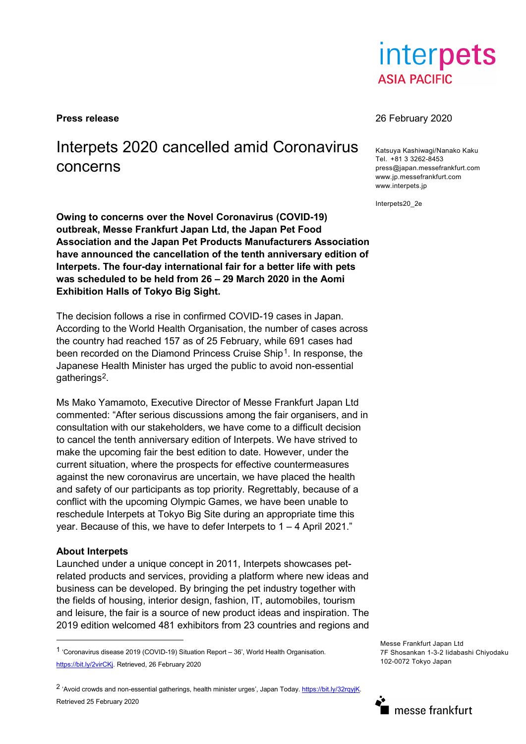interpets **ASIA PACIFIC** 

# Interpets 2020 cancelled amid Coronavirus concerns

**Owing to concerns over the Novel Coronavirus (COVID-19) outbreak, Messe Frankfurt Japan Ltd, the Japan Pet Food Association and the Japan Pet Products Manufacturers Association have announced the cancellation of the tenth anniversary edition of Interpets. The four-day international fair for a better life with pets was scheduled to be held from 26 – 29 March 2020 in the Aomi Exhibition Halls of Tokyo Big Sight.**

The decision follows a rise in confirmed COVID-19 cases in Japan. According to the World Health Organisation, the number of cases across the country had reached 157 as of 25 February, while 691 cases had been recorded on the Diamond Princess Cruise Ship<sup>1</sup>. In response, the Japanese Health Minister has urged the public to avoid non-essential gatherings[2](#page-0-1).

Ms Mako Yamamoto, Executive Director of Messe Frankfurt Japan Ltd commented: "After serious discussions among the fair organisers, and in consultation with our stakeholders, we have come to a difficult decision to cancel the tenth anniversary edition of Interpets. We have strived to make the upcoming fair the best edition to date. However, under the current situation, where the prospects for effective countermeasures against the new coronavirus are uncertain, we have placed the health and safety of our participants as top priority. Regrettably, because of a conflict with the upcoming Olympic Games, we have been unable to reschedule Interpets at Tokyo Big Site during an appropriate time this year. Because of this, we have to defer Interpets to 1 – 4 April 2021."

## **About Interpets**

Launched under a unique concept in 2011, Interpets showcases petrelated products and services, providing a platform where new ideas and business can be developed. By bringing the pet industry together with the fields of housing, interior design, fashion, IT, automobiles, tourism and leisure, the fair is a source of new product ideas and inspiration. The 2019 edition welcomed 481 exhibitors from 23 countries and regions and

<span id="page-0-1"></span><sup>2</sup> 'Avoid crowds and non-essential gatherings, health minister urges', Japan Today. https://bit.ly/32rqyjK. Retrieved 25 February 2020

### **Press release** 26 February 2020

Katsuya Kashiwagi/Nanako Kaku Tel. +81 3 3262-8453 press@japan.messefrankfurt.com www.jp.messefrankfurt.com www.interpets.jp

Interpets20\_2e

Messe Frankfurt Japan Ltd 7F Shosankan 1-3-2 Iidabashi Chiyodaku 102-0072 Tokyo Japan



<span id="page-0-0"></span> <sup>1</sup> 'Coronavirus disease 2019 (COVID-19) Situation Report – 36', World Health Organisation. [https://bit.ly/2virCKj.](https://bit.ly/2virCKj) Retrieved, 26 February 2020